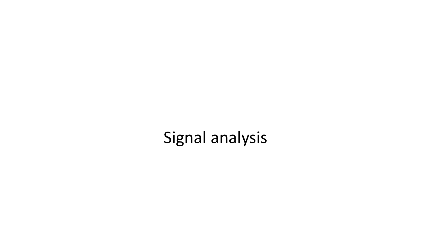Signal analysis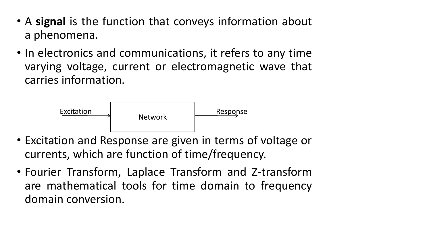- A **signal** is the function that conveys information about a phenomena.
- In electronics and communications, it refers to any time varying voltage, current or electromagnetic wave that carries information.



- Excitation and Response are given in terms of voltage or currents, which are function of time/frequency.
- Fourier Transform, Laplace Transform and Z-transform are mathematical tools for time domain to frequency domain conversion.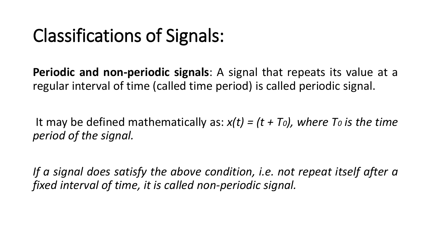## Classifications of Signals:

**Periodic and non-periodic signals**: A signal that repeats its value at a regular interval of time (called time period) is called periodic signal.

It may be defined mathematically as: *x(t) = (t + T0), where T<sup>0</sup> is the time period of the signal.*

*If a signal does satisfy the above condition, i.e. not repeat itself after a fixed interval of time, it is called non-periodic signal.*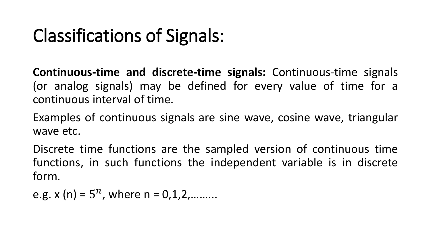## Classifications of Signals:

**Continuous-time and discrete-time signals:** Continuous-time signals (or analog signals) may be defined for every value of time for a continuous interval of time.

Examples of continuous signals are sine wave, cosine wave, triangular wave etc.

Discrete time functions are the sampled version of continuous time functions, in such functions the independent variable is in discrete form.

e.g.  $x(n) = 5^n$ , where  $n = 0, 1, 2,$ .........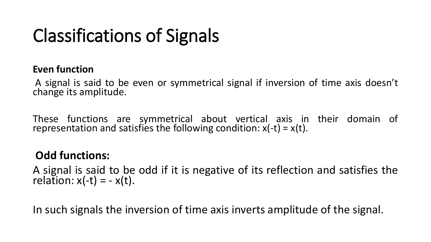# Classifications of Signals

#### **Even function**

A signal is said to be even or symmetrical signal if inversion of time axis doesn't change its amplitude.

These functions are symmetrical about vertical axis in their domain of representation and satisfies the following condition:  $x(-t) = x(t)$ .

### **Odd functions:**

A signal is said to be odd if it is negative of its reflection and satisfies the relation:  $x(-t) = -x(t)$ .

In such signals the inversion of time axis inverts amplitude of the signal.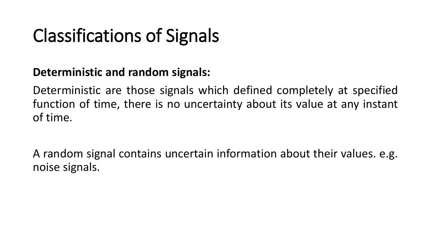# Classifications of Signals

### **Deterministic and random signals:**

Deterministic are those signals which defined completely at specified function of time, there is no uncertainty about its value at any instant of time.

A random signal contains uncertain information about their values. e.g. noise signals.